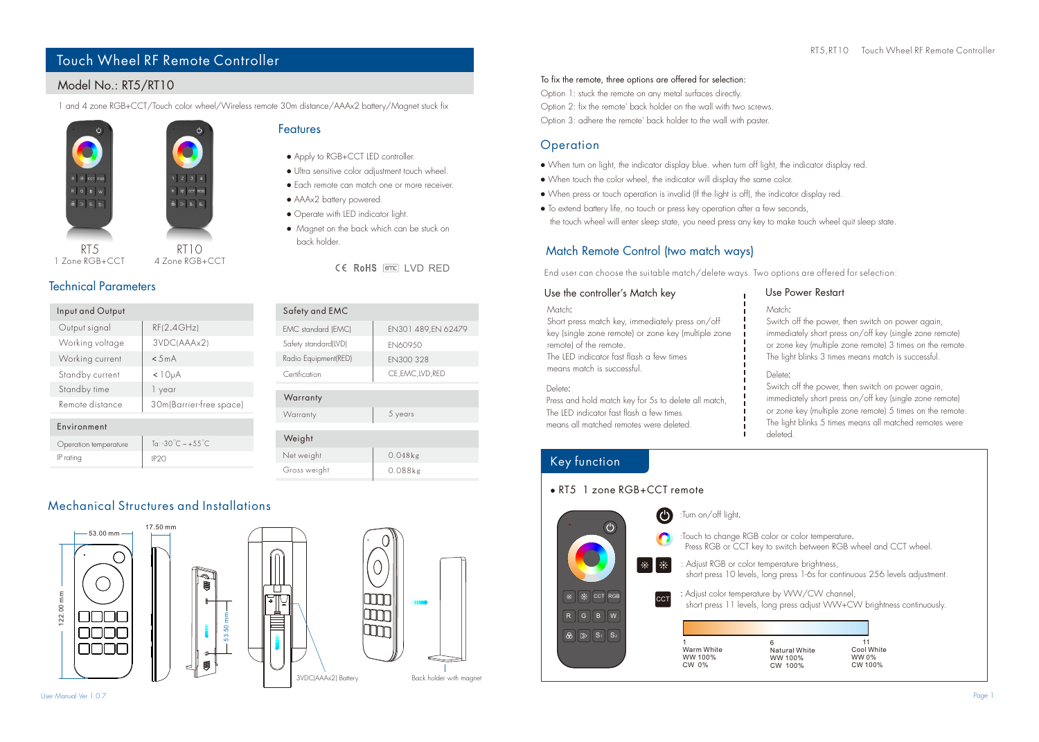## Touch Wheel RF Remote Controller

## Model No.: RT5/RT10

1 and 4 zone RGB+CCT/Touch color wheel/Wireless remote 30m distance/AAAx2 battery/Magnet stuck fix



### Features

Gross weight

- Apply to RGB+CCT LED controller.
- Ultra sensitive color adjustment touch wheel.
- Each remote can match one or more receiver.
- AAAx2 battery powered.
- Operate with LED indicator light.
- Magnet on the back which can be stuck on back holder.

CE RoHS FOR LVD RED

| Input and Output      |                         | Safety and EMC       |
|-----------------------|-------------------------|----------------------|
| Output signal         | RF(2.4GHz)              | EMC standard (EMC    |
| Working voltage       | 3VDC(AAAx2)             | Safety standard(LVD) |
| Working current       | < 5mA                   | Radio Equipment(RED  |
| Standby current       | <10 <sub>u</sub> A      | Certification        |
| Standby time          | 1 year                  |                      |
| Remote distance       | 30m(Barrier-free space) | Warranty             |
|                       |                         | Warranty             |
| Environment           |                         |                      |
| Operation temperature | To: -30°C $\sim +55$ °C | Weight               |
| IP rating             | IP <sub>20</sub>        | Net weight           |

| EMC standard (EMC)   | EN301 489.EN 62479 |
|----------------------|--------------------|
| Safety standard(LVD) | FN609.50           |
| Radio Equipment(RED) | FN300 328          |
| Certification        | CE, EMC, LVD, RED  |
|                      |                    |
| Warranty             |                    |
| Warranty             | 5 years            |
|                      |                    |
| Weight               |                    |

Mechanical Structures and Installations 17.50 mm







0.048kg

0.088kg

#### To fix the remote, three options are offered for selection:

Option 1: stuck the remote on any metal surfaces directly. Option 2: fix the remote' back holder on the wall with two screws. Option 3: adhere the remote' back holder to the wall with paster.

## **Operation**

- When turn on light, the indicator display blue. when turn off light, the indicator display red.
- When touch the color wheel, the indicator will display the same color.
- When press or touch operation is invalid (If the light is off), the indicator display red.
- To extend battery life, no touch or press key operation after a few seconds, the touch wheel will enter sleep state, you need press any key to make touch wheel quit sleep state.

## Match Remote Control (two match ways)

End user can choose the suitable match/delete ways. Two options are offered for selection:

#### Use the controller's Match key

Match:

Short press match key, immediately press on/off key (single zone remote) or zone key (multiple zone remote) of the remote. The LED indicator fast flash a few times means match is successful.

#### Delete:

Press and hold match key for 5s to delete all match, The LED indicator fast flash a few times means all matched remotes were deleted.

#### Use Power Restart

Match:

Switch off the power, then switch on power again. immediately short press on/off key (single zone remote) or zone key (multiple zone remote) 3 times on the remote. The light blinks 3 times means match is successful.

#### Delete:

. Switch off the power, then switch on power again, immediately short press on/off key (single zone remote) or zone key (multiple zone remote) 5 times on the remote. The light blinks 5 times means all matched remotes were deleted.

## Key function



# Technical Parameters

1 Zone RGB+CCT

**Stational** 

 $\overline{b}$   $\overline{b}$   $\overline{s}$   $\overline{s}$